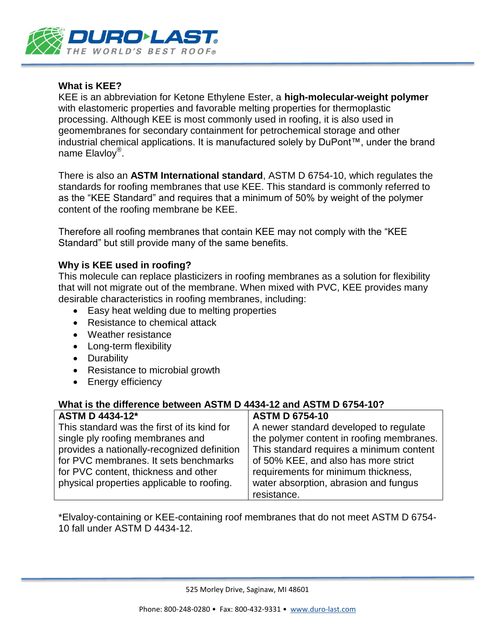

### **What is KEE?**

KEE is an abbreviation for Ketone Ethylene Ester, a **high-molecular-weight polymer** with elastomeric properties and favorable melting properties for thermoplastic processing. Although KEE is most commonly used in roofing, it is also used in geomembranes for secondary containment for petrochemical storage and other industrial chemical applications. It is manufactured solely by DuPont™, under the brand name Elavloy®.

There is also an **ASTM International standard**, ASTM D 6754-10, which regulates the standards for roofing membranes that use KEE. This standard is commonly referred to as the "KEE Standard" and requires that a minimum of 50% by weight of the polymer content of the roofing membrane be KEE.

Therefore all roofing membranes that contain KEE may not comply with the "KEE Standard" but still provide many of the same benefits.

#### **Why is KEE used in roofing?**

This molecule can replace plasticizers in roofing membranes as a solution for flexibility that will not migrate out of the membrane. When mixed with PVC, KEE provides many desirable characteristics in roofing membranes, including:

- Easy heat welding due to melting properties
- Resistance to chemical attack
- Weather resistance
- Long-term flexibility
- Durability
- Resistance to microbial growth
- Energy efficiency

#### **What is the difference between ASTM D 4434-12 and ASTM D 6754-10?**

| <b>ASTM D 4434-12*</b>                      | <b>ASTM D 6754-10</b>                     |
|---------------------------------------------|-------------------------------------------|
| This standard was the first of its kind for | A newer standard developed to regulate    |
| single ply roofing membranes and            | the polymer content in roofing membranes. |
| provides a nationally-recognized definition | This standard requires a minimum content  |
| for PVC membranes. It sets benchmarks       | of 50% KEE, and also has more strict      |
| for PVC content, thickness and other        | requirements for minimum thickness,       |
| physical properties applicable to roofing.  | water absorption, abrasion and fungus     |
|                                             | resistance.                               |

\*Elvaloy-containing or KEE-containing roof membranes that do not meet ASTM D 6754- 10 fall under ASTM D 4434-12.

525 Morley Drive, Saginaw, MI 48601